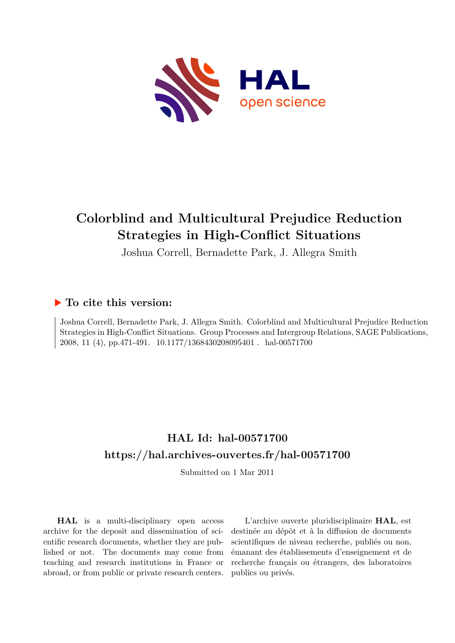

# **Colorblind and Multicultural Prejudice Reduction Strategies in High-Conflict Situations**

Joshua Correll, Bernadette Park, J. Allegra Smith

# **To cite this version:**

Joshua Correll, Bernadette Park, J. Allegra Smith. Colorblind and Multicultural Prejudice Reduction Strategies in High-Conflict Situations. Group Processes and Intergroup Relations, SAGE Publications, 2008, 11 (4), pp.471-491. 10.1177/1368430208095401. hal-00571700

# **HAL Id: hal-00571700 <https://hal.archives-ouvertes.fr/hal-00571700>**

Submitted on 1 Mar 2011

**HAL** is a multi-disciplinary open access archive for the deposit and dissemination of scientific research documents, whether they are published or not. The documents may come from teaching and research institutions in France or abroad, or from public or private research centers.

L'archive ouverte pluridisciplinaire **HAL**, est destinée au dépôt et à la diffusion de documents scientifiques de niveau recherche, publiés ou non, émanant des établissements d'enseignement et de recherche français ou étrangers, des laboratoires publics ou privés.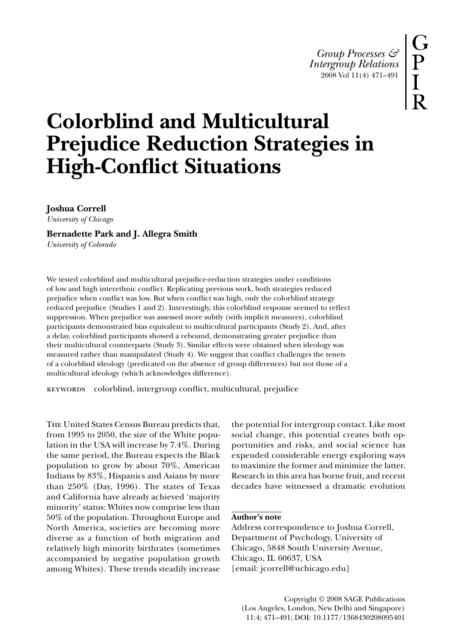*Group Processes & Intergroup Relations*  $2008$  Vol 11(4) 471–491

# **Colorblind and Multicultural Prejudice Reduction Strategies in High-Conflict Situations**

**Joshua Correll** *University of Chicago*

**Bernadette Park and J. Allegra Smith**

*University of Colorado*

We tested colorblind and multicultural prejudice-reduction strategies under conditions of low and high interethnic conflict. Replicating previous work, both strategies reduced prejudice when conflict was low. But when conflict was high, only the colorblind strategy reduced prejudice (Studies 1 and 2). Interestingly, this colorblind response seemed to reflect suppression. When prejudice was assessed more subtly (with implicit measures), colorblind participants demonstrated bias equivalent to multicultural participants (Study 2). And, after a delay, colorblind participants showed a rebound, demonstrating greater prejudice than their multicultural counterparts (Study 3). Similar effects were obtained when ideology was measured rather than manipulated (Study 4). We suggest that conflict challenges the tenets of a colorblind ideology (predicated on the absence of group differences) but not those of a multicultural ideology (which acknowledges difference).

KEYWORDS colorblind, intergroup conflict, multicultural, prejudice

The United States Census Bureau predicts that, from 1995 to 2050, the size of the White population in the USA will increase by 7.4%. During the same period, the Bureau expects the Black population to grow by about 70%, American Indians by 83%, Hispanics and Asians by more than 250% (Day, 1996). The states of Texas and California have already achieved 'majority minority' status: Whites now comprise less than 50% of the population. Throughout Europe and North America, societies are becoming more diverse as a function of both migration and relatively high minority birthrates (sometimes accompanied by negative population growth among Whites). These trends steadily increase the potential for intergroup contact. Like most social change, this potential creates both opportunities and risks, and social science has expended considerable energy exploring ways to maximize the former and minimize the latter. Research in this area has borne fruit, and recent decades have witnessed a dramatic evolution

#### **Author's note**

Address correspondence to Joshua Correll, Department of Psychology, University of Chicago, 5848 South University Avenue, Chicago, IL 60637, USA [email: jcorrell@uchicago.edu]

Copyright © 2008 SAGE Publications (Los Angeles, London, New Delhi and Singapore) 11:4; 471–491; DOI: 10.1177/1368430208095401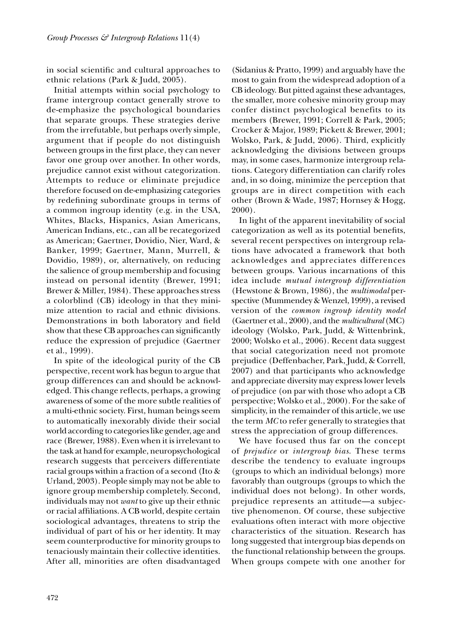in social scientific and cultural approaches to ethnic relations (Park & Judd, 2005).

Initial attempts within social psychology to frame intergroup contact generally strove to de-emphasize the psychological boundaries that separate groups. These strategies derive from the irrefutable, but perhaps overly simple, argument that if people do not distinguish between groups in the first place, they can never favor one group over another. In other words, prejudice cannot exist without categorization. Attempts to reduce or eliminate prejudice therefore focused on de-emphasizing categories by redefining subordinate groups in terms of a common ingroup identity (e.g. in the USA, Whites, Blacks, Hispanics, Asian Americans, American Indians, etc., can all be recategorized as American; Gaertner, Dovidio, Nier, Ward, & Banker, 1999; Gaertner, Mann, Murrell, & Dovidio, 1989), or, alternatively, on reducing the salience of group membership and focusing instead on personal identity (Brewer, 1991; Brewer & Miller, 1984). These approaches stress a colorblind (CB) ideology in that they minimize attention to racial and ethnic divisions. Demonstrations in both laboratory and field show that these CB approaches can significantly reduce the expression of prejudice (Gaertner et al., 1999).

In spite of the ideological purity of the CB perspective, recent work has begun to argue that group differences can and should be acknowledged. This change reflects, perhaps, a growing awareness of some of the more subtle realities of a multi-ethnic society. First, human beings seem to automatically inexorably divide their social world according to categories like gender, age and race (Brewer, 1988). Even when it is irrelevant to the task at hand for example, neuropsychological research suggests that perceivers differentiate racial groups within a fraction of a second (Ito & Urland, 2003). People simply may not be able to ignore group membership completely. Second, individuals may not *want* to give up their ethnic or racial affiliations. A CB world, despite certain sociological advantages, threatens to strip the individual of part of his or her identity. It may seem counterproductive for minority groups to tenaciously maintain their collective identities. After all, minorities are often disadvantaged (Sidanius & Pratto, 1999) and arguably have the most to gain from the widespread adoption of a CB ideology. But pitted against these advantages, the smaller, more cohesive minority group may confer distinct psychological benefits to its members (Brewer, 1991; Correll & Park, 2005; Crocker & Major, 1989; Pickett & Brewer, 2001; Wolsko, Park, & Judd, 2006). Third, explicitly acknowledging the divisions between groups may, in some cases, harmonize intergroup relations. Category differentiation can clarify roles and, in so doing, minimize the perception that groups are in direct competition with each other (Brown & Wade, 1987; Hornsey & Hogg, 2000).

In light of the apparent inevitability of social categorization as well as its potential benefits, several recent perspectives on intergroup relations have advocated a framework that both acknowledges and appreciates differences between groups. Various incarnations of this idea include *mutual intergroup differentiation* (Hewstone & Brown, 1986), the *multimodal* perspective (Mummendey & Wenzel, 1999), a revised version of the *common ingroup identity model* (Gaertner et al., 2000), and the *multicultural* (MC) ideology (Wolsko, Park, Judd, & Wittenbrink, 2000; Wolsko et al., 2006). Recent data suggest that social categorization need not promote prejudice (Deffenbacher, Park, Judd, & Correll, 2007) and that participants who acknowledge and appreciate diversity may express lower levels of prejudice (on par with those who adopt a CB perspective; Wolsko et al., 2000). For the sake of simplicity, in the remainder of this article, we use the term *MC* to refer generally to strategies that stress the appreciation of group differences.

We have focused thus far on the concept of *prejudice* or *intergroup bias*. These terms describe the tendency to evaluate ingroups (groups to which an individual belongs) more favorably than outgroups (groups to which the individual does not belong). In other words, prejudice represents an attitude—a subjective phenomenon. Of course, these subjective evaluations often interact with more objective characteristics of the situation. Research has long suggested that intergroup bias depends on the functional relationship between the groups. When groups compete with one another for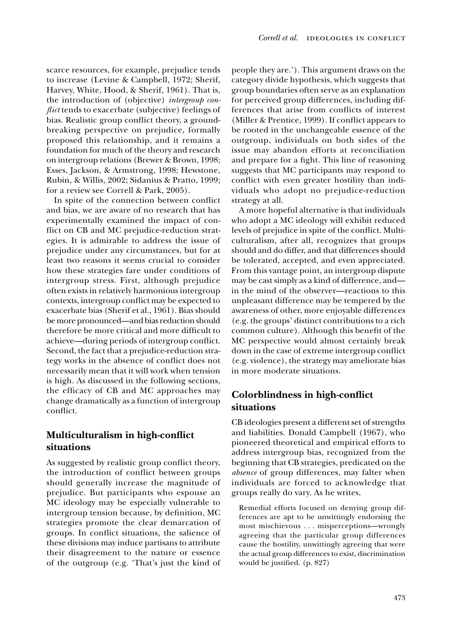scarce resources, for example, prejudice tends to increase (Levine & Campbell, 1972; Sherif, Harvey, White, Hood, & Sherif, 1961). That is, the introduction of (objective) *intergroup conflict* tends to exacerbate (subjective) feelings of bias. Realistic group conflict theory, a groundbreaking perspective on prejudice, formally proposed this relationship, and it remains a foundation for much of the theory and research on intergroup relations (Brewer & Brown, 1998; Esses, Jackson, & Armstrong, 1998; Hewstone, Rubin, & Willis, 2002; Sidanius & Pratto, 1999; for a review see Correll & Park, 2005).

In spite of the connection between conflict and bias, we are aware of no research that has experimentally examined the impact of conflict on CB and MC prejudice-reduction strategies. It is admirable to address the issue of prejudice under any circumstances, but for at least two reasons it seems crucial to consider how these strategies fare under conditions of intergroup stress. First, although prejudice often exists in relatively harmonious intergroup contexts, intergroup conflict may be expected to exacerbate bias (Sherif et al., 1961). Bias should be more pronounced—and bias reduction should therefore be more critical and more difficult to achieve—during periods of intergroup conflict. Second, the fact that a prejudice-reduction strategy works in the absence of conflict does not necessarily mean that it will work when tension is high. As discussed in the following sections, the efficacy of CB and MC approaches may change dramatically as a function of intergroup conflict.

# **Multiculturalism in high-conflict situations**

As suggested by realistic group conflict theory, the introduction of conflict between groups should generally increase the magnitude of prejudice. But participants who espouse an MC ideology may be especially vulnerable to intergroup tension because, by definition, MC strategies promote the clear demarcation of groups. In conflict situations, the salience of these divisions may induce partisans to attribute their disagreement to the nature or essence of the outgroup (e.g. 'That's just the kind of

people they are.'). This argument draws on the category divide hypothesis, which suggests that group boundaries often serve as an explanation for perceived group differences, including differences that arise from conflicts of interest (Miller & Prentice, 1999). If conflict appears to be rooted in the unchangeable essence of the outgroup, individuals on both sides of the issue may abandon efforts at reconciliation and prepare for a fight. This line of reasoning suggests that MC participants may respond to conflict with even greater hostility than individuals who adopt no prejudice-reduction strategy at all.

A more hopeful alternative is that individuals who adopt a MC ideology will exhibit reduced levels of prejudice in spite of the conflict. Multiculturalism, after all, recognizes that groups should and do differ, and that differences should be tolerated, accepted, and even appreciated. From this vantage point, an intergroup dispute may be cast simply as a kind of difference, and in the mind of the observer—reactions to this unpleasant difference may be tempered by the awareness of other, more enjoyable differences (e.g. the groups' distinct contributions to a rich common culture). Although this benefit of the MC perspective would almost certainly break down in the case of extreme intergroup conflict (e.g. violence), the strategy may ameliorate bias in more moderate situations.

# **Colorblindness in high-conflict situations**

CB ideologies present a different set of strengths and liabilities. Donald Campbell (1967), who pioneered theoretical and empirical efforts to address intergroup bias, recognized from the beginning that CB strategies, predicated on the *absence* of group differences, may falter when individuals are forced to acknowledge that groups really do vary. As he writes,

Remedial efforts focused on denying group differences are apt to be unwittingly endorsing the most mischievous . . . misperceptions—wrongly agreeing that the particular group differences cause the hostility, unwittingly agreeing that were the actual group differences to exist, discrimination would be justified. (p. 827)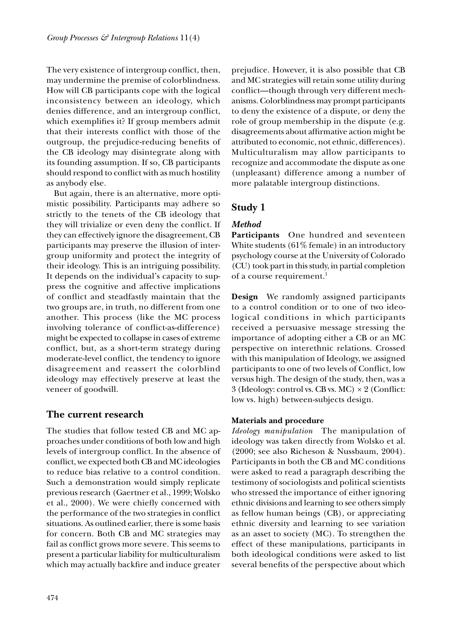The very existence of intergroup conflict, then, may undermine the premise of colorblindness. How will CB participants cope with the logical inconsistency between an ideology, which denies difference, and an intergroup conflict, which exemplifies it? If group members admit that their interests conflict with those of the outgroup, the prejudice-reducing benefits of the CB ideology may disintegrate along with its founding assumption. If so, CB participants should respond to conflict with as much hostility as anybody else.

But again, there is an alternative, more optimistic possibility. Participants may adhere so strictly to the tenets of the CB ideology that they will trivialize or even deny the conflict. If they can effectively ignore the disagreement, CB participants may preserve the illusion of intergroup uniformity and protect the integrity of their ideology. This is an intriguing possibility. It depends on the individual's capacity to suppress the cognitive and affective implications of conflict and steadfastly maintain that the two groups are, in truth, no different from one another. This process (like the MC process involving tolerance of conflict-as-difference) might be expected to collapse in cases of extreme conflict, but, as a short-term strategy during moderate-level conflict, the tendency to ignore disagreement and reassert the colorblind ideology may effectively preserve at least the veneer of goodwill.

# **The current research**

The studies that follow tested CB and MC approaches under conditions of both low and high levels of intergroup conflict. In the absence of conflict, we expected both CB and MC ideologies to reduce bias relative to a control condition. Such a demonstration would simply replicate previous research (Gaertner et al., 1999; Wolsko et al., 2000). We were chiefly concerned with the performance of the two strategies in conflict situations. As outlined earlier, there is some basis for concern. Both CB and MC strategies may fail as conflict grows more severe. This seems to present a particular liability for multiculturalism which may actually backfire and induce greater prejudice. However, it is also possible that CB and MC strategies will retain some utility during conflict—though through very different mechanisms. Colorblindness may prompt participants to deny the existence of a dispute, or deny the role of group membership in the dispute (e.g. disagreements about affirmative action might be attributed to economic, not ethnic, differences). Multiculturalism may allow participants to recognize and accommodate the dispute as one (unpleasant) difference among a number of more palatable intergroup distinctions.

# **Study 1**

## *Method*

**Participants** One hundred and seventeen White students (61% female) in an introductory psychology course at the University of Colorado (CU) took part in this study, in partial completion of a course requirement.<sup>1</sup>

**Design** We randomly assigned participants to a control condition or to one of two ideological conditions in which participants received a persuasive message stressing the importance of adopting either a CB or an MC perspective on interethnic relations. Crossed with this manipulation of Ideology, we assigned participants to one of two levels of Conflict, low versus high. The design of the study, then, was a  $3$  (Ideology: control vs. CB vs. MC)  $\times$  2 (Conflict: low vs. high) between-subjects design.

#### **Materials and procedure**

*Ideology manipulation* The manipulation of ideology was taken directly from Wolsko et al. (2000; see also Richeson & Nussbaum, 2004). Participants in both the CB and MC conditions were asked to read a paragraph describing the testimony of sociologists and political scientists who stressed the importance of either ignoring ethnic divisions and learning to see others simply as fellow human beings (CB), or appreciating ethnic diversity and learning to see variation as an asset to society (MC). To strengthen the effect of these manipulations, participants in both ideological conditions were asked to list several benefits of the perspective about which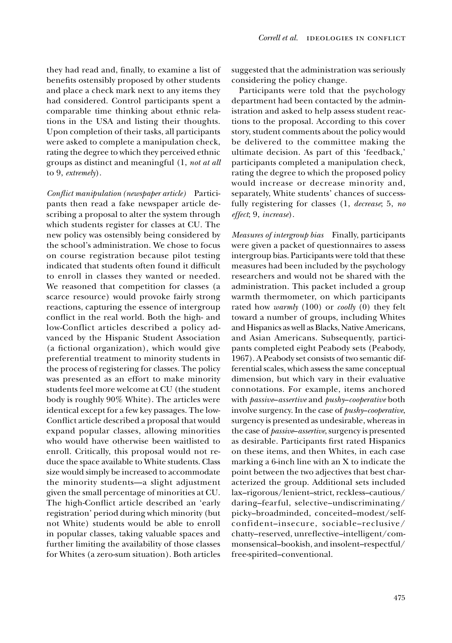they had read and, finally, to examine a list of benefits ostensibly proposed by other students and place a check mark next to any items they had considered. Control participants spent a comparable time thinking about ethnic relations in the USA and listing their thoughts. Upon completion of their tasks, all participants were asked to complete a manipulation check, rating the degree to which they perceived ethnic groups as distinct and meaningful (1, *not at all* to 9, *extremely*).

*Conflict manipulation (newspaper article)* Participants then read a fake newspaper article describing a proposal to alter the system through which students register for classes at CU. The new policy was ostensibly being considered by the school's administration. We chose to focus on course registration because pilot testing indicated that students often found it difficult to enroll in classes they wanted or needed. We reasoned that competition for classes (a scarce resource) would provoke fairly strong reactions, capturing the essence of intergroup conflict in the real world. Both the high- and low-Conflict articles described a policy advanced by the Hispanic Student Association (a fictional organization), which would give preferential treatment to minority students in the process of registering for classes. The policy was presented as an effort to make minority students feel more welcome at CU (the student body is roughly 90% White). The articles were identical except for a few key passages. The low-Conflict article described a proposal that would expand popular classes, allowing minorities who would have otherwise been waitlisted to enroll. Critically, this proposal would not reduce the space available to White students. Class size would simply be increased to accommodate the minority students—a slight adjustment given the small percentage of minorities at CU. The high-Conflict article described an 'early registration' period during which minority (but not White) students would be able to enroll in popular classes, taking valuable spaces and further limiting the availability of those classes for Whites (a zero-sum situation). Both articles suggested that the administration was seriously considering the policy change.

Participants were told that the psychology department had been contacted by the administration and asked to help assess student reactions to the proposal. According to this cover story, student comments about the policy would be delivered to the committee making the ultimate decision. As part of this 'feedback,' participants completed a manipulation check, rating the degree to which the proposed policy would increase or decrease minority and, separately, White students' chances of successfully registering for classes (1, *decrease*; 5, *no effect*; 9, *increase*).

*Measures of intergroup bias* Finally, participants were given a packet of questionnaires to assess intergroup bias. Participants were told that these measures had been included by the psychology researchers and would not be shared with the administration. This packet included a group warmth thermometer, on which participants rated how *warmly* (100) or *coolly* (0) they felt toward a number of groups, including Whites and Hispanics as well as Blacks, Native Americans, and Asian Americans. Subsequently, participants completed eight Peabody sets (Peabody, 1967). A Peabody set consists of two semantic differential scales, which assess the same conceptual dimension, but which vary in their evaluative connotations. For example, items anchored with *passive*–*assertive* and *pushy*–*cooperative* both involve surgency. In the case of *pushy*–*cooperative*, surgency is presented as undesirable, whereas in the case of *passive*–*assertive*, surgency is presented as desirable. Participants first rated Hispanics on these items, and then Whites, in each case marking a 6-inch line with an X to indicate the point between the two adjectives that best characterized the group. Additional sets included lax–rigorous/lenient–strict, reckless–cautious/ daring–fearful, selective–undiscriminating/ picky–broadminded, conceited–modest/selfconfident–insecure, sociable–reclusive/ chatty-reserved, unreflective-intelligent/commonsensical–bookish, and insolent–respectful/ free-spirited–conventional.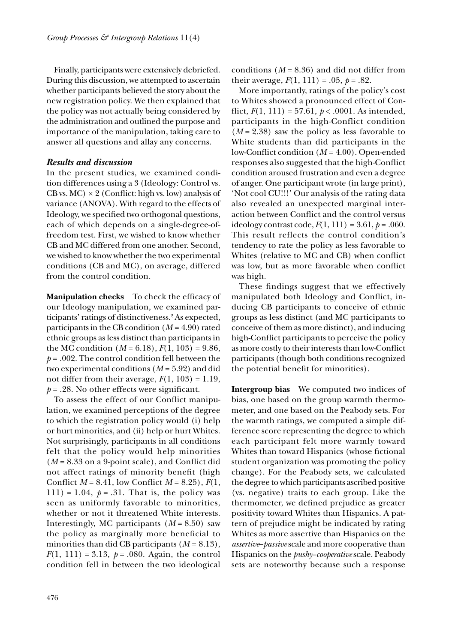Finally, participants were extensively debriefed. During this discussion, we attempted to ascertain whether participants believed the story about the new registration policy. We then explained that the policy was not actually being considered by the administration and outlined the purpose and importance of the manipulation, taking care to answer all questions and allay any concerns.

#### *Results and discussion*

In the present studies, we examined condition differences using a 3 (Ideology: Control vs.  $CB$  vs.  $MC$ )  $\times$  2 (Conflict: high vs. low) analysis of variance (ANOVA). With regard to the effects of Ideology, we specified two orthogonal questions, each of which depends on a single-degree-offreedom test. First, we wished to know whether CB and MC differed from one another. Second, we wished to know whether the two experimental conditions (CB and MC), on average, differed from the control condition.

**Manipulation checks** To check the efficacy of our Ideology manipulation, we examined participants' ratings of distinctiveness.<sup>2</sup> As expected, participants in the CB condition (*M* = 4.90) rated ethnic groups as less distinct than participants in the MC condition  $(M = 6.18)$ ,  $F(1, 103) = 9.86$ ,  $p = .002$ . The control condition fell between the two experimental conditions (*M* = 5.92) and did not differ from their average,  $F(1, 103) = 1.19$ ,  $p = .28$ . No other effects were significant.

To assess the effect of our Conflict manipulation, we examined perceptions of the degree to which the registration policy would (i) help or hurt minorities, and (ii) help or hurt Whites. Not surprisingly, participants in all conditions felt that the policy would help minorities  $(M = 8.33$  on a 9-point scale), and Conflict did not affect ratings of minority benefit (high Conflict  $M = 8.41$ , low Conflict  $M = 8.25$ ),  $F(1, 1)$ 111) = 1.04,  $p = .31$ . That is, the policy was seen as uniformly favorable to minorities, whether or not it threatened White interests. Interestingly, MC participants  $(M = 8.50)$  saw the policy as marginally more beneficial to minorities than did CB participants (*M* = 8.13),  $F(1, 111) = 3.13$ ,  $p = .080$ . Again, the control condition fell in between the two ideological conditions  $(M = 8.36)$  and did not differ from their average,  $F(1, 111) = .05$ ,  $p = .82$ .

More importantly, ratings of the policy's cost to Whites showed a pronounced effect of Conflict,  $F(1, 111) = 57.61$ ,  $p < .0001$ . As intended, participants in the high-Conflict condition  $(M = 2.38)$  saw the policy as less favorable to White students than did participants in the low-Conflict condition ( $M = 4.00$ ). Open-ended responses also suggested that the high-Conflict condition aroused frustration and even a degree of anger. One participant wrote (in large print), 'Not cool CU!!!' Our analysis of the rating data also revealed an unexpected marginal interaction between Conflict and the control versus ideology contrast code,  $F(1, 111) = 3.61, p = .060$ . This result reflects the control condition's tendency to rate the policy as less favorable to Whites (relative to MC and CB) when conflict was low, but as more favorable when conflict was high.

These findings suggest that we effectively manipulated both Ideology and Conflict, inducing CB participants to conceive of ethnic groups as less distinct (and MC participants to conceive of them as more distinct), and inducing high-Conflict participants to perceive the policy as more costly to their interests than low-Conflict participants (though both conditions recognized the potential benefit for minorities).

**Intergroup bias** We computed two indices of bias, one based on the group warmth thermometer, and one based on the Peabody sets. For the warmth ratings, we computed a simple difference score representing the degree to which each participant felt more warmly toward Whites than toward Hispanics (whose fictional student organization was promoting the policy change). For the Peabody sets, we calculated the degree to which participants ascribed positive (vs. negative) traits to each group. Like the thermometer, we defined prejudice as greater positivity toward Whites than Hispanics. A pattern of prejudice might be indicated by rating Whites as more assertive than Hispanics on the *assertive*–*passive* scale and more cooperative than Hispanics on the *pushy*–*cooperative* scale. Peabody sets are noteworthy because such a response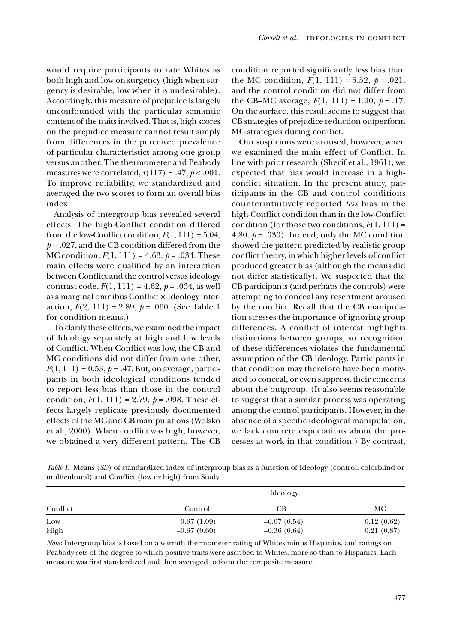would require participants to rate Whites as both high and low on surgency (high when surgency is desirable, low when it is undesirable). Accordingly, this measure of prejudice is largely unconfounded with the particular semantic content of the traits involved. That is, high scores on the prejudice measure cannot result simply from differences in the perceived prevalence of particular characteristics among one group versus another. The thermometer and Peabody measures were correlated,  $r(117) = .47, p < .001$ . To improve reliability, we standardized and averaged the two scores to form an overall bias index.

Analysis of intergroup bias revealed several effects. The high-Conflict condition differed from the low-Conflict condition,  $F(1, 111) = 5.04$ ,  $p = .027$ , and the CB condition differed from the  $MC$  condition,  $F(1, 111) = 4.63$ ,  $p = .034$ . These main effects were qualified by an interaction between Conflict and the control versus ideology contrast code,  $F(1, 111) = 4.62$ ,  $p = .034$ , as well as a marginal omnibus Conflict  $\times$  Ideology interaction,  $F(2, 111) = 2.89$ ,  $p = .060$ . (See Table 1) for condition means.)

To clarify these effects, we examined the impact of Ideology separately at high and low levels of Conflict. When Conflict was low, the CB and MC conditions did not differ from one other,  $F(1, 111) = 0.53$ ,  $p = .47$ . But, on average, participants in both ideological conditions tended to report less bias than those in the control condition,  $F(1, 111) = 2.79$ ,  $p = .098$ . These effects largely replicate previously documented effects of the MC and CB manipulations (Wolsko et al., 2000). When conflict was high, however, we obtained a very different pattern. The CB

condition reported significantly less bias than the MC condition,  $F(1, 111) = 5.52$ ,  $p = .021$ , and the control condition did not differ from the CB–MC average,  $F(1, 111) = 1.90$ ,  $p = .17$ . On the surface, this result seems to suggest that CB strategies of prejudice reduction outperform MC strategies during conflict.

Our suspicions were aroused, however, when we examined the main effect of Conflict. In line with prior research (Sherif et al., 1961), we expected that bias would increase in a highconflict situation. In the present study, participants in the CB and control conditions counterintuitively reported *less* bias in the high-Conflict condition than in the low-Conflict condition (for those two conditions,  $F(1, 111) =$ 4.80,  $p = .030$ ). Indeed, only the MC condition showed the pattern predicted by realistic group conflict theory, in which higher levels of conflict produced greater bias (although the means did not differ statistically). We suspected that the CB participants (and perhaps the controls) were attempting to conceal any resentment aroused by the conflict. Recall that the CB manipulation stresses the importance of ignoring group differences. A conflict of interest highlights distinctions between groups, so recognition of these differences violates the fundamental assumption of the CB ideology. Participants in that condition may therefore have been motivated to conceal, or even suppress, their concerns about the outgroup. (It also seems reasonable to suggest that a similar process was operating among the control participants. However, in the absence of a specific ideological manipulation, we lack concrete expectations about the processes at work in that condition.) By contrast,

*Table 1*. Means (*SD*) of standardized index of intergroup bias as a function of Ideology (control, colorblind or multicultural) and Conflict (low or high) from Study 1

| Conflict | Ideology      |               |            |  |
|----------|---------------|---------------|------------|--|
|          | Control       | CВ            | МC         |  |
| Low      | 0.37(1.09)    | $-0.07(0.54)$ | 0.12(0.62) |  |
| High     | $-0.37(0.60)$ | $-0.36(0.64)$ | 0.21(0.87) |  |

*Note*: Intergroup bias is based on a warmth thermometer rating of Whites minus Hispanics, and ratings on Peabody sets of the degree to which positive traits were ascribed to Whites, more so than to Hispanics. Each measure was first standardized and then averaged to form the composite measure.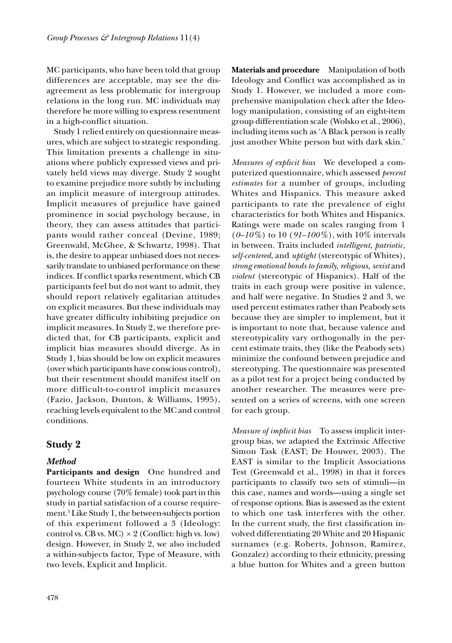MC participants, who have been told that group differences are acceptable, may see the disagreement as less problematic for intergroup relations in the long run. MC individuals may therefore be more willing to express resentment in a high-conflict situation.

Study 1 relied entirely on questionnaire measures, which are subject to strategic responding. This limitation presents a challenge in situations where publicly expressed views and privately held views may diverge. Study 2 sought to examine prejudice more subtly by including an implicit measure of intergroup attitudes. Implicit measures of prejudice have gained prominence in social psychology because, in theory, they can assess attitudes that participants would rather conceal (Devine, 1989; Greenwald, McGhee, & Schwartz, 1998). That is, the desire to appear unbiased does not necessarily translate to unbiased performance on these indices. If conflict sparks resentment, which CB participants feel but do not want to admit, they should report relatively egalitarian attitudes on explicit measures. But these individuals may have greater difficulty inhibiting prejudice on implicit measures. In Study 2, we therefore predicted that, for CB participants, explicit and implicit bias measures should diverge. As in Study 1, bias should be low on explicit measures (over which participants have conscious control), but their resentment should manifest itself on more difficult-to-control implicit measures (Fazio, Jackson, Dunton, & Williams, 1995), reaching levels equivalent to the MC and control conditions.

# **Study 2**

#### *Method*

Participants and design One hundred and fourteen White students in an introductory psychology course (70% female) took part in this study in partial satisfaction of a course requirement.3 Like Study 1, the between-subjects portion of this experiment followed a 3 (Ideology: control vs. CB vs.  $MC$ )  $\times$  2 (Conflict: high vs. low) design. However, in Study 2, we also included a within-subjects factor, Type of Measure, with two levels, Explicit and Implicit.

**Materials and procedure** Manipulation of both Ideology and Conflict was accomplished as in Study 1. However, we included a more comprehensive manipulation check after the Ideology manipulation, consisting of an eight-item group differentiation scale (Wolsko et al., 2006), including items such as 'A Black person is really just another White person but with dark skin.'

*Measures of explicit bias* We developed a computerized questionnaire, which assessed *percent estimates* for a number of groups, including Whites and Hispanics. This measure asked participants to rate the prevalence of eight characteristics for both Whites and Hispanics. Ratings were made on scales ranging from 1 (*0–10%*) to 10 (*91–100%*), with 10% intervals in between. Traits included *intelligent, patriotic, self-centered*, and *uptight* (stereotypic of Whites), *strong emotional bonds to family, religious, sexist* and *violent* (stereotypic of Hispanics). Half of the traits in each group were positive in valence, and half were negative. In Studies 2 and 3, we used percent estimates rather than Peabody sets because they are simpler to implement, but it is important to note that, because valence and stereotypicality vary orthogonally in the percent estimate traits, they (like the Peabody sets) minimize the confound between prejudice and stereotyping. The questionnaire was presented as a pilot test for a project being conducted by another researcher. The measures were presented on a series of screens, with one screen for each group.

*Measure of implicit bias* To assess implicit intergroup bias, we adapted the Extrinsic Affective Simon Task (EAST; De Houwer, 2003). The EAST is similar to the Implicit Associations Test (Greenwald et al., 1998) in that it forces participants to classify two sets of stimuli—in this case, names and words—using a single set of response options. Bias is assessed as the extent to which one task interferes with the other. In the current study, the first classification involved differentiating 20 White and 20 Hispanic surnames (e.g. Roberts, Johnson, Ramirez, Gonzalez) according to their ethnicity, pressing a blue button for Whites and a green button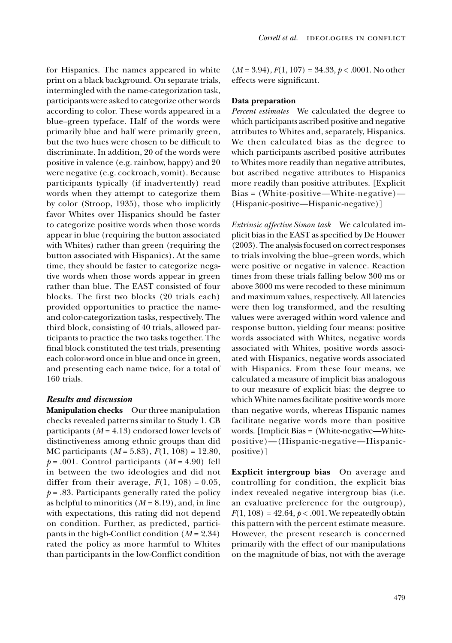for Hispanics. The names appeared in white print on a black background. On separate trials, intermingled with the name-categorization task, participants were asked to categorize other words according to color. These words appeared in a blue–green typeface. Half of the words were primarily blue and half were primarily green, but the two hues were chosen to be difficult to discriminate. In addition, 20 of the words were positive in valence (e.g. rainbow, happy) and 20 were negative (e.g. cockroach, vomit). Because participants typically (if inadvertently) read words when they attempt to categorize them by color (Stroop, 1935), those who implicitly favor Whites over Hispanics should be faster to categorize positive words when those words appear in blue (requiring the button associated with Whites) rather than green (requiring the button associated with Hispanics). At the same time, they should be faster to categorize negative words when those words appear in green rather than blue. The EAST consisted of four blocks. The first two blocks (20 trials each) provided opportunities to practice the nameand color-categorization tasks, respectively. The third block, consisting of 40 trials, allowed participants to practice the two tasks together. The final block constituted the test trials, presenting each color-word once in blue and once in green, and presenting each name twice, for a total of 160 trials.

#### *Results and discussion*

**Manipulation checks** Our three manipulation checks revealed patterns similar to Study 1. CB participants (*M* = 4.13) endorsed lower levels of distinctiveness among ethnic groups than did MC participants (*M* = 5.83), *F*(1, 108) = 12.80,  $p = .001$ . Control participants ( $M = 4.90$ ) fell in between the two ideologies and did not differ from their average,  $F(1, 108) = 0.05$ ,  $p = .83$ . Participants generally rated the policy as helpful to minorities  $(M = 8.19)$ , and, in line with expectations, this rating did not depend on condition. Further, as predicted, participants in the high-Conflict condition  $(M = 2.34)$ rated the policy as more harmful to Whites than participants in the low-Conflict condition

 $(M = 3.94)$ ,  $F(1, 107) = 34.33$ ,  $p < .0001$ . No other effects were significant.

#### **Data preparation**

*Percent estimates* We calculated the degree to which participants ascribed positive and negative attributes to Whites and, separately, Hispanics. We then calculated bias as the degree to which participants ascribed positive attributes to Whites more readily than negative attributes, but ascribed negative attributes to Hispanics more readily than positive attributes. [Explicit Bias = (White-positive—White-negative)— (Hispanic-positive—Hispanic-negative)]

*Extrinsic affective Simon task* We calculated implicit bias in the EAST as specified by De Houwer (2003). The analysis focused on correct responses to trials involving the blue–green words, which were positive or negative in valence. Reaction times from these trials falling below 300 ms or above 3000 ms were recoded to these minimum and maximum values, respectively. All latencies were then log transformed, and the resulting values were averaged within word valence and response button, yielding four means: positive words associated with Whites, negative words associated with Whites, positive words associated with Hispanics, negative words associated with Hispanics. From these four means, we calculated a measure of implicit bias analogous to our measure of explicit bias: the degree to which White names facilitate positive words more than negative words, whereas Hispanic names facilitate negative words more than positive words. [Implicit Bias = (White-negative—Whitepositive)—(Hispanic-negative—Hispanicpositive)]

**Explicit intergroup bias** On average and controlling for condition, the explicit bias index revealed negative intergroup bias (i.e. an evaluative preference for the outgroup),  $F(1, 108) = 42.64, p < .001$ . We repeatedly obtain this pattern with the percent estimate measure. However, the present research is concerned primarily with the effect of our manipulations on the magnitude of bias, not with the average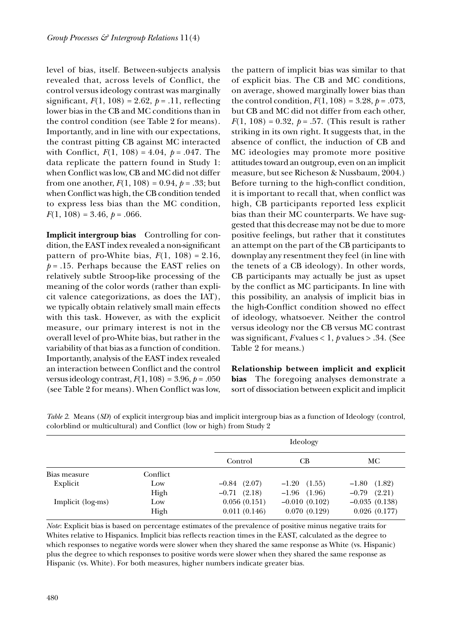level of bias, itself. Between-subjects analysis revealed that, across levels of Conflict, the control versus ideology contrast was marginally significant,  $F(1, 108) = 2.62$ ,  $p = .11$ , reflecting lower bias in the CB and MC conditions than in the control condition (see Table 2 for means). Importantly, and in line with our expectations, the contrast pitting CB against MC interacted with Conflict,  $F(1, 108) = 4.04$ ,  $p = .047$ . The data replicate the pattern found in Study 1: when Conflict was low, CB and MC did not differ from one another,  $F(1, 108) = 0.94$ ,  $p = .33$ ; but when Conflict was high, the CB condition tended to express less bias than the MC condition,  $F(1, 108) = 3.46, p = .066.$ 

**Implicit intergroup bias** Controlling for condition, the EAST index revealed a non-significant pattern of pro-White bias,  $F(1, 108) = 2.16$ ,  $p = .15$ . Perhaps because the EAST relies on relatively subtle Stroop-like processing of the meaning of the color words (rather than explicit valence categorizations, as does the IAT), we typically obtain relatively small main effects with this task. However, as with the explicit measure, our primary interest is not in the overall level of pro-White bias, but rather in the variability of that bias as a function of condition. Importantly, analysis of the EAST index revealed an interaction between Conflict and the control versus ideology contrast,  $F(1, 108) = 3.96$ ,  $p = .050$ (see Table 2 for means). When Conflict was low,

the pattern of implicit bias was similar to that of explicit bias. The CB and MC conditions, on average, showed marginally lower bias than the control condition,  $F(1, 108) = 3.28$ ,  $p = .073$ , but CB and MC did not differ from each other,  $F(1, 108) = 0.32$ ,  $p = .57$ . (This result is rather striking in its own right. It suggests that, in the absence of conflict, the induction of CB and MC ideologies may promote more positive attitudes toward an outgroup, even on an implicit measure, but see Richeson & Nussbaum, 2004.) Before turning to the high-conflict condition, it is important to recall that, when conflict was high, CB participants reported less explicit bias than their MC counterparts. We have suggested that this decrease may not be due to more positive feelings, but rather that it constitutes an attempt on the part of the CB participants to downplay any resentment they feel (in line with the tenets of a CB ideology). In other words, CB participants may actually be just as upset by the conflict as MC participants. In line with this possibility, an analysis of implicit bias in the high-Conflict condition showed no effect of ideology, whatsoever. Neither the control versus ideology nor the CB versus MC contrast was signifi cant, *F* values < 1, *p* values > .34. (See Table 2 for means.)

**Relationship between implicit and explicit bias** The foregoing analyses demonstrate a sort of dissociation between explicit and implicit

|                   |          | Ideology         |                   |                   |
|-------------------|----------|------------------|-------------------|-------------------|
|                   |          | Control          | CВ                | МC                |
| Bias measure      | Conflict |                  |                   |                   |
| Explicit          | Low      | $-0.84$ $(2.07)$ | $-1.20$<br>(1.55) | (1.82)<br>$-1.80$ |
|                   | High     | $-0.71$ $(2.18)$ | $-1.96$ $(1.96)$  | (2.21)<br>$-0.79$ |
| Implicit (log-ms) | Low      | 0.056(0.151)     | $-0.010(0.102)$   | $-0.035(0.138)$   |
|                   | High     | 0.011(0.146)     | 0.070(0.129)      | 0.026(0.177)      |

*Table 2*. Means (*SD*) of explicit intergroup bias and implicit intergroup bias as a function of Ideology (control, colorblind or multicultural) and Conflict (low or high) from Study 2

*Note*: Explicit bias is based on percentage estimates of the prevalence of positive minus negative traits for Whites relative to Hispanics. Implicit bias reflects reaction times in the EAST, calculated as the degree to which responses to negative words were slower when they shared the same response as White (vs. Hispanic) plus the degree to which responses to positive words were slower when they shared the same response as Hispanic (vs. White). For both measures, higher numbers indicate greater bias.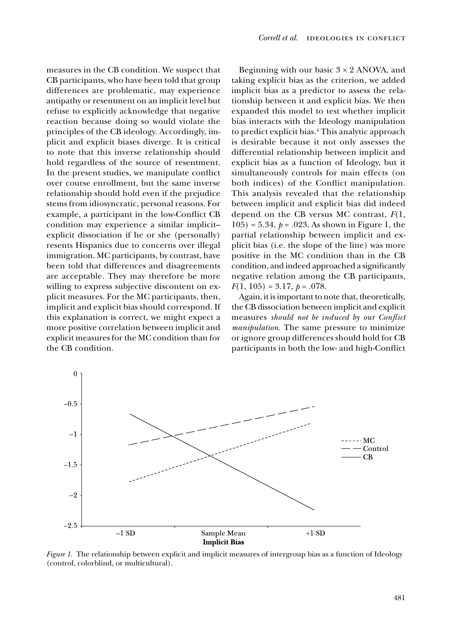measures in the CB condition. We suspect that CB participants, who have been told that group differences are problematic, may experience antipathy or resentment on an implicit level but refuse to explicitly acknowledge that negative reaction because doing so would violate the principles of the CB ideology. Accordingly, implicit and explicit biases diverge. It is critical to note that this inverse relationship should hold regardless of the source of resentment. In the present studies, we manipulate conflict over course enrollment, but the same inverse relationship should hold even if the prejudice stems from idiosyncratic, personal reasons. For example, a participant in the low-Conflict CB condition may experience a similar implicit– explicit dissociation if he or she (personally) resents Hispanics due to concerns over illegal immigration. MC participants, by contrast, have been told that differences and disagreements are acceptable. They may therefore be more willing to express subjective discontent on explicit measures. For the MC participants, then, implicit and explicit bias should correspond. If this explanation is correct, we might expect a more positive correlation between implicit and explicit measures for the MC condition than for the CB condition.

Beginning with our basic  $3 \times 2$  ANOVA, and taking explicit bias as the criterion, we added implicit bias as a predictor to assess the relationship between it and explicit bias. We then expanded this model to test whether implicit bias interacts with the Ideology manipulation to predict explicit bias.<sup>4</sup> This analytic approach is desirable because it not only assesses the differential relationship between implicit and explicit bias as a function of Ideology, but it simultaneously controls for main effects (on both indices) of the Conflict manipulation. This analysis revealed that the relationship between implicit and explicit bias did indeed depend on the CB versus MC contrast, *F*(1,  $105$ ) = 5.34,  $p = .023$ . As shown in Figure 1, the partial relationship between implicit and explicit bias (i.e. the slope of the line) was more positive in the MC condition than in the CB condition, and indeed approached a significantly negative relation among the CB participants,  $F(1, 105) = 3.17, p = .078.$ 

Again, it is important to note that, theoretically, the CB dissociation between implicit and explicit measures *should not be induced by our Conflict manipulation*. The same pressure to minimize or ignore group differences should hold for CB participants in both the low- and high-Conflict



*Figure 1*. The relationship between explicit and implicit measures of intergroup bias as a function of Ideology (control, colorblind, or multicultural).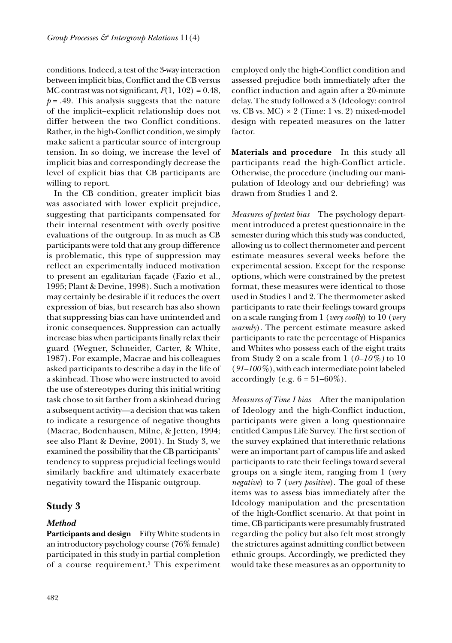conditions. Indeed, a test of the 3-way interaction between implicit bias, Conflict and the CB versus  $MC$  contrast was not significant,  $F(1, 102) = 0.48$ ,  $p = .49$ . This analysis suggests that the nature of the implicit–explicit relationship does not differ between the two Conflict conditions. Rather, in the high-Conflict condition, we simply make salient a particular source of intergroup tension. In so doing, we increase the level of implicit bias and correspondingly decrease the level of explicit bias that CB participants are willing to report.

In the CB condition, greater implicit bias was associated with lower explicit prejudice, suggesting that participants compensated for their internal resentment with overly positive evaluations of the outgroup. In as much as CB participants were told that any group difference is problematic, this type of suppression may reflect an experimentally induced motivation to present an egalitarian façade (Fazio et al., 1995; Plant & Devine, 1998). Such a motivation may certainly be desirable if it reduces the overt expression of bias, but research has also shown that suppressing bias can have unintended and ironic consequences. Suppression can actually increase bias when participants finally relax their guard (Wegner, Schneider, Carter, & White, 1987). For example, Macrae and his colleagues asked participants to describe a day in the life of a skinhead. Those who were instructed to avoid the use of stereotypes during this initial writing task chose to sit farther from a skinhead during a subsequent activity—a decision that was taken to indicate a resurgence of negative thoughts (Macrae, Bodenhausen, Milne, & Jetten, 1994; see also Plant & Devine, 2001). In Study 3, we examined the possibility that the CB participants' tendency to suppress prejudicial feelings would similarly backfire and ultimately exacerbate negativity toward the Hispanic outgroup.

## **Study 3**

#### *Method*

**Participants and design** Fifty White students in an introductory psychology course (76% female) participated in this study in partial completion of a course requirement.<sup>5</sup> This experiment

employed only the high-Conflict condition and assessed prejudice both immediately after the conflict induction and again after a 20-minute delay. The study followed a 3 (Ideology: control vs. CB vs.  $MC$ )  $\times$  2 (Time: 1 vs. 2) mixed-model design with repeated measures on the latter factor.

**Materials and procedure** In this study all participants read the high-Conflict article. Otherwise, the procedure (including our manipulation of Ideology and our debriefing) was drawn from Studies 1 and 2.

*Measures of pretest bias* The psychology department introduced a pretest questionnaire in the semester during which this study was conducted, allowing us to collect thermometer and percent estimate measures several weeks before the experimental session. Except for the response options, which were constrained by the pretest format, these measures were identical to those used in Studies 1 and 2. The thermometer asked participants to rate their feelings toward groups on a scale ranging from 1 (*very coolly*) to 10 (*very warmly*). The percent estimate measure asked participants to rate the percentage of Hispanics and Whites who possess each of the eight traits from Study 2 on a scale from 1 (*0–10%)* to 10 (*91–100%*), with each intermediate point labeled accordingly (e.g.  $6 = 51-60\%$ ).

*Measures of Time 1 bias* After the manipulation of Ideology and the high-Conflict induction, participants were given a long questionnaire entitled Campus Life Survey. The first section of the survey explained that interethnic relations were an important part of campus life and asked participants to rate their feelings toward several groups on a single item, ranging from 1 (*very negative*) to 7 (*very positive*). The goal of these items was to assess bias immediately after the Ideology manipulation and the presentation of the high-Conflict scenario. At that point in time, CB participants were presumably frustrated regarding the policy but also felt most strongly the strictures against admitting conflict between ethnic groups. Accordingly, we predicted they would take these measures as an opportunity to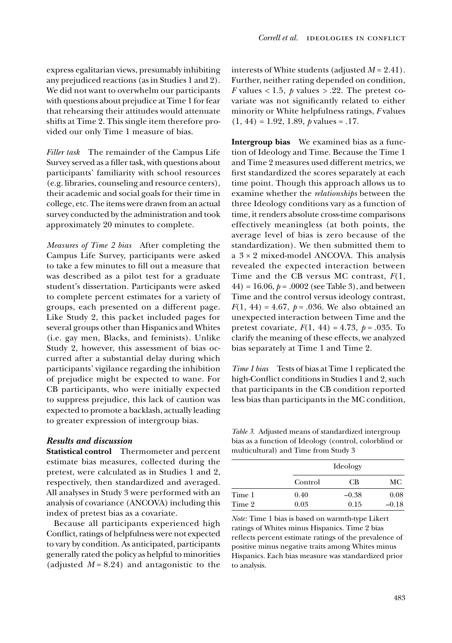express egalitarian views, presumably inhibiting any prejudiced reactions (as in Studies 1 and 2). We did not want to overwhelm our participants with questions about prejudice at Time 1 for fear that rehearsing their attitudes would attenuate shifts at Time 2. This single item therefore provided our only Time 1 measure of bias.

*Filler task* The remainder of the Campus Life Survey served as a filler task, with questions about participants' familiarity with school resources (e.g. libraries, counseling and resource centers), their academic and social goals for their time in college, etc. The items were drawn from an actual survey conducted by the administration and took approximately 20 minutes to complete.

*Measures of Time 2 bias* After completing the Campus Life Survey, participants were asked to take a few minutes to fill out a measure that was described as a pilot test for a graduate student's dissertation. Participants were asked to complete percent estimates for a variety of groups, each presented on a different page. Like Study 2, this packet included pages for several groups other than Hispanics and Whites (i.e. gay men, Blacks, and feminists). Unlike Study 2, however, this assessment of bias occurred after a substantial delay during which participants' vigilance regarding the inhibition of prejudice might be expected to wane. For CB participants, who were initially expected to suppress prejudice, this lack of caution was expected to promote a backlash, actually leading to greater expression of intergroup bias.

#### *Results and discussion*

**Statistical control** Thermometer and percent estimate bias measures, collected during the pretest, were calculated as in Studies 1 and 2, respectively, then standardized and averaged. All analyses in Study 3 were performed with an analysis of covariance (ANCOVA) including this index of pretest bias as a covariate.

Because all participants experienced high Conflict, ratings of helpfulness were not expected to vary by condition. As anticipated, participants generally rated the policy as helpful to minorities (adjusted  $M = 8.24$ ) and antagonistic to the interests of White students (adjusted *M* = 2.41). Further, neither rating depended on condition, *F* values  $< 1.5$ , *p* values  $> .22$ . The pretest covariate was not significantly related to either minority or White helpfulness ratings, *F* values  $(1, 44) = 1.92, 1.89, p values = .17.$ 

**Intergroup bias** We examined bias as a function of Ideology and Time. Because the Time 1 and Time 2 measures used different metrics, we first standardized the scores separately at each time point. Though this approach allows us to examine whether the *relationships* between the three Ideology conditions vary as a function of time, it renders absolute cross-time comparisons effectively meaningless (at both points, the average level of bias is zero because of the standardization). We then submitted them to a 3 × 2 mixed-model ANCOVA. This analysis revealed the expected interaction between Time and the CB versus MC contrast, *F*(1,  $(44) = 16.06, p = .0002$  (see Table 3), and between Time and the control versus ideology contrast, *F*(1, 44) = 4.67, *p* = .036. We also obtained an unexpected interaction between Time and the pretest covariate, *F*(1, 44) = 4.73, *p* = .035. To clarify the meaning of these effects, we analyzed bias separately at Time 1 and Time 2.

*Time 1 bias* Tests of bias at Time 1 replicated the high-Conflict conditions in Studies 1 and 2, such that participants in the CB condition reported less bias than participants in the MC condition,

*Table 3*. Adjusted means of standardized intergroup bias as a function of Ideology (control, colorblind or multicultural) and Time from Study 3

|        | Ideology |         |         |  |
|--------|----------|---------|---------|--|
|        | Control  | CВ      | MС      |  |
| Time 1 | 0.40     | $-0.38$ | 0.08    |  |
| Time 2 | 0.03     | 0.15    | $-0.18$ |  |

*Note*: Time 1 bias is based on warmth-type Likert ratings of Whites minus Hispanics. Time 2 bias reflects percent estimate ratings of the prevalence of positive minus negative traits among Whites minus Hispanics. Each bias measure was standardized prior to analysis.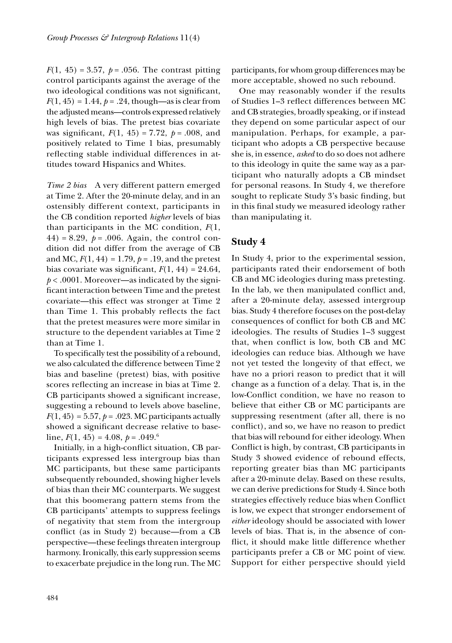*F*(1, 45) = 3.57,  $p = .056$ . The contrast pitting control participants against the average of the two ideological conditions was not significant,  $F(1, 45) = 1.44, p = .24,$  though—as is clear from the adjusted means—controls expressed relatively high levels of bias. The pretest bias covariate was significant,  $F(1, 45) = 7.72$ ,  $p = .008$ , and positively related to Time 1 bias, presumably reflecting stable individual differences in attitudes toward Hispanics and Whites.

*Time 2 bias* A very different pattern emerged at Time 2. After the 20-minute delay, and in an ostensibly different context, participants in the CB condition reported *higher* levels of bias than participants in the MC condition, *F*(1, 44) = 8.29,  $p = .006$ . Again, the control condition did not differ from the average of CB and MC,  $F(1, 44) = 1.79$ ,  $p = .19$ , and the pretest bias covariate was significant,  $F(1, 44) = 24.64$ ,  $p < .0001$ . Moreover—as indicated by the significant interaction between Time and the pretest covariate—this effect was stronger at Time 2 than Time 1. This probably reflects the fact that the pretest measures were more similar in structure to the dependent variables at Time 2 than at Time 1.

To specifically test the possibility of a rebound, we also calculated the difference between Time 2 bias and baseline (pretest) bias, with positive scores reflecting an increase in bias at Time 2. CB participants showed a significant increase, suggesting a rebound to levels above baseline,  $F(1, 45) = 5.57$ ,  $p = .023$ . MC participants actually showed a significant decrease relative to baseline,  $F(1, 45) = 4.08$ ,  $p = .049$ .<sup>6</sup>

Initially, in a high-conflict situation, CB participants expressed less intergroup bias than MC participants, but these same participants subsequently rebounded, showing higher levels of bias than their MC counterparts. We suggest that this boomerang pattern stems from the CB participants' attempts to suppress feelings of negativity that stem from the intergroup conflict (as in Study 2) because—from a CB perspective—these feelings threaten intergroup harmony. Ironically, this early suppression seems to exacerbate prejudice in the long run. The MC participants, for whom group differences may be more acceptable, showed no such rebound.

One may reasonably wonder if the results of Studies 1-3 reflect differences between MC and CB strategies, broadly speaking, or if instead they depend on some particular aspect of our manipulation. Perhaps, for example, a participant who adopts a CB perspective because she is, in essence, *asked* to do so does not adhere to this ideology in quite the same way as a participant who naturally adopts a CB mindset for personal reasons. In Study 4, we therefore sought to replicate Study 3's basic finding, but in this final study we measured ideology rather than manipulating it.

## **Study 4**

In Study 4, prior to the experimental session, participants rated their endorsement of both CB and MC ideologies during mass pretesting. In the lab, we then manipulated conflict and, after a 20-minute delay, assessed intergroup bias. Study 4 therefore focuses on the post-delay consequences of conflict for both CB and MC ideologies. The results of Studies 1–3 suggest that, when conflict is low, both CB and MC ideologies can reduce bias. Although we have not yet tested the longevity of that effect, we have no a priori reason to predict that it will change as a function of a delay. That is, in the low-Conflict condition, we have no reason to believe that either CB or MC participants are suppressing resentment (after all, there is no conflict), and so, we have no reason to predict that bias will rebound for either ideology. When Conflict is high, by contrast, CB participants in Study 3 showed evidence of rebound effects, reporting greater bias than MC participants after a 20-minute delay. Based on these results, we can derive predictions for Study 4. Since both strategies effectively reduce bias when Conflict is low, we expect that stronger endorsement of *either* ideology should be associated with lower levels of bias. That is, in the absence of conflict, it should make little difference whether participants prefer a CB or MC point of view. Support for either perspective should yield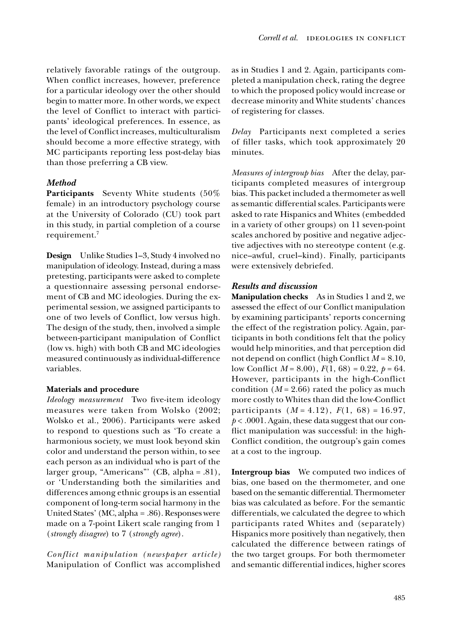relatively favorable ratings of the outgroup. When conflict increases, however, preference for a particular ideology over the other should begin to matter more. In other words, we expect the level of Conflict to interact with participants' ideological preferences. In essence, as the level of Conflict increases, multiculturalism should become a more effective strategy, with MC participants reporting less post-delay bias than those preferring a CB view.

#### *Method*

Participants Seventy White students (50%) female) in an introductory psychology course at the University of Colorado (CU) took part in this study, in partial completion of a course requirement.7

**Design** Unlike Studies 1–3, Study 4 involved no manipulation of ideology. Instead, during a mass pretesting, participants were asked to complete a questionnaire assessing personal endorsement of CB and MC ideologies. During the experimental session, we assigned participants to one of two levels of Conflict, low versus high. The design of the study, then, involved a simple between-participant manipulation of Conflict (low vs. high) with both CB and MC ideologies measured continuously as individual-difference variables.

#### **Materials and procedure**

*Ideology measurement* Two five-item ideology measures were taken from Wolsko (2002; Wolsko et al., 2006). Participants were asked to respond to questions such as 'To create a harmonious society, we must look beyond skin color and understand the person within, to see each person as an individual who is part of the larger group, "Americans"' (CB, alpha = .81), or 'Understanding both the similarities and differences among ethnic groups is an essential component of long-term social harmony in the United States' (MC, alpha = .86). Responses were made on a 7-point Likert scale ranging from 1 (*strongly disagree*) to 7 (*strongly agree*).

*Conflict manipulation (newspaper article)* Manipulation of Conflict was accomplished

as in Studies 1 and 2. Again, participants completed a manipulation check, rating the degree to which the proposed policy would increase or decrease minority and White students' chances of registering for classes.

*Delay* Participants next completed a series of filler tasks, which took approximately 20 minutes.

*Measures of intergroup bias* After the delay, participants completed measures of intergroup bias. This packet included a thermometer as well as semantic differential scales. Participants were asked to rate Hispanics and Whites (embedded in a variety of other groups) on 11 seven-point scales anchored by positive and negative adjective adjectives with no stereotype content (e.g. nice–awful, cruel–kind). Finally, participants were extensively debriefed.

#### *Results and discussion*

**Manipulation checks** As in Studies 1 and 2, we assessed the effect of our Conflict manipulation by examining participants' reports concerning the effect of the registration policy. Again, participants in both conditions felt that the policy would help minorities, and that perception did not depend on conflict (high Conflict  $M = 8.10$ , low Conflict  $M = 8.00$ ,  $F(1, 68) = 0.22$ ,  $p = 64$ . However, participants in the high-Conflict condition  $(M = 2.66)$  rated the policy as much more costly to Whites than did the low-Conflict participants  $(M = 4.12)$ ,  $F(1, 68) = 16.97$ ,  $p < .0001$ . Again, these data suggest that our conflict manipulation was successful: in the high-Conflict condition, the outgroup's gain comes at a cost to the ingroup.

**Intergroup bias** We computed two indices of bias, one based on the thermometer, and one based on the semantic differential. Thermometer bias was calculated as before. For the semantic differentials, we calculated the degree to which participants rated Whites and (separately) Hispanics more positively than negatively, then calculated the difference between ratings of the two target groups. For both thermometer and semantic differential indices, higher scores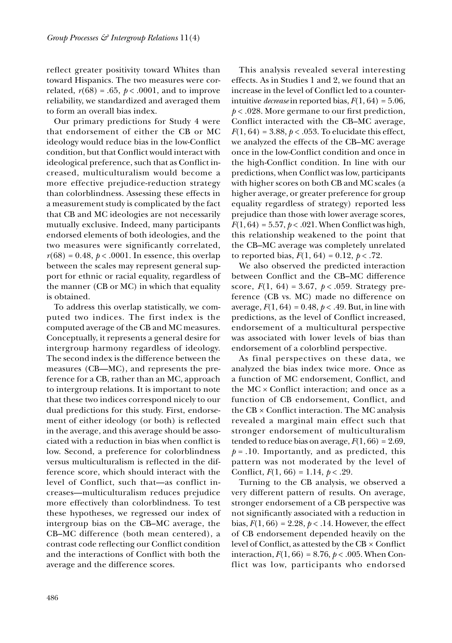reflect greater positivity toward Whites than toward Hispanics. The two measures were correlated,  $r(68) = .65, p < .0001$ , and to improve reliability, we standardized and averaged them to form an overall bias index.

Our primary predictions for Study 4 were that endorsement of either the CB or MC ideology would reduce bias in the low-Conflict condition, but that Conflict would interact with ideological preference, such that as Conflict increased, multiculturalism would become a more effective prejudice-reduction strategy than colorblindness. Assessing these effects in a measurement study is complicated by the fact that CB and MC ideologies are not necessarily mutually exclusive. Indeed, many participants endorsed elements of both ideologies, and the two measures were significantly correlated,  $r(68) = 0.48, p < .0001$ . In essence, this overlap between the scales may represent general support for ethnic or racial equality, regardless of the manner (CB or MC) in which that equality is obtained.

To address this overlap statistically, we computed two indices. The first index is the computed average of the CB and MC measures. Conceptually, it represents a general desire for intergroup harmony regardless of ideology. The second index is the difference between the measures (CB—MC), and represents the preference for a CB, rather than an MC, approach to intergroup relations. It is important to note that these two indices correspond nicely to our dual predictions for this study. First, endorsement of either ideology (or both) is reflected in the average, and this average should be associated with a reduction in bias when conflict is low. Second, a preference for colorblindness versus multiculturalism is reflected in the difference score, which should interact with the level of Conflict, such that—as conflict increases—multiculturalism reduces prejudice more effectively than colorblindness. To test these hypotheses, we regressed our index of intergroup bias on the CB–MC average, the CB–MC difference (both mean centered), a contrast code reflecting our Conflict condition and the interactions of Conflict with both the average and the difference scores.

This analysis revealed several interesting effects. As in Studies 1 and 2, we found that an increase in the level of Conflict led to a counterintuitive *decrease* in reported bias, *F*(1, 64) = 5.06,  $p < .028$ . More germane to our first prediction, Conflict interacted with the CB–MC average,  $F(1, 64) = 3.88, p < .053$ . To elucidate this effect, we analyzed the effects of the CB–MC average once in the low-Conflict condition and once in the high-Conflict condition. In line with our predictions, when Conflict was low, participants with higher scores on both CB and MC scales (a higher average, or greater preference for group equality regardless of strategy) reported less prejudice than those with lower average scores,  $F(1, 64) = 5.57, p < .021$ . When Conflict was high, this relationship weakened to the point that the CB–MC average was completely unrelated to reported bias,  $F(1, 64) = 0.12$ ,  $p < 0.72$ .

We also observed the predicted interaction between Conflict and the CB-MC difference score,  $F(1, 64) = 3.67$ ,  $p < .059$ . Strategy preference (CB vs. MC) made no difference on average,  $F(1, 64) = 0.48, p < .49$ . But, in line with predictions, as the level of Conflict increased, endorsement of a multicultural perspective was associated with lower levels of bias than endorsement of a colorblind perspective.

As final perspectives on these data, we analyzed the bias index twice more. Once as a function of MC endorsement, Conflict, and the  $MC \times$  Conflict interaction; and once as a function of CB endorsement, Conflict, and the  $CB \times$  Conflict interaction. The MC analysis revealed a marginal main effect such that stronger endorsement of multiculturalism tended to reduce bias on average,  $F(1, 66) = 2.69$ ,  $p = .10$ . Importantly, and as predicted, this pattern was not moderated by the level of Conflict,  $F(1, 66) = 1.14$ ,  $p < .29$ .

Turning to the CB analysis, we observed a very different pattern of results. On average, stronger endorsement of a CB perspective was not significantly associated with a reduction in bias,  $F(1, 66) = 2.28$ ,  $p < .14$ . However, the effect of CB endorsement depended heavily on the level of Conflict, as attested by the  $CB \times$  Conflict interaction,  $F(1, 66) = 8.76$ ,  $p < .005$ . When Conflict was low, participants who endorsed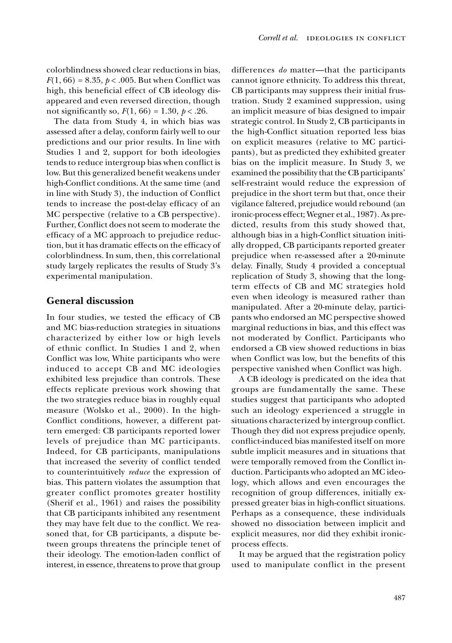colorblindness showed clear reductions in bias,  $F(1, 66) = 8.35, p < .005$ . But when Conflict was high, this beneficial effect of CB ideology disappeared and even reversed direction, though not significantly so,  $F(1, 66) = 1.30, p < .26$ .

The data from Study 4, in which bias was assessed after a delay, conform fairly well to our predictions and our prior results. In line with Studies 1 and 2, support for both ideologies tends to reduce intergroup bias when conflict is low. But this generalized benefit weakens under high-Conflict conditions. At the same time (and in line with Study 3), the induction of Conflict tends to increase the post-delay efficacy of an MC perspective (relative to a CB perspective). Further, Conflict does not seem to moderate the efficacy of a MC approach to prejudice reduction, but it has dramatic effects on the efficacy of colorblindness. In sum, then, this correlational study largely replicates the results of Study 3's experimental manipulation.

#### **General discussion**

In four studies, we tested the efficacy of CB and MC bias-reduction strategies in situations characterized by either low or high levels of ethnic conflict. In Studies 1 and 2, when Conflict was low, White participants who were induced to accept CB and MC ideologies exhibited less prejudice than controls. These effects replicate previous work showing that the two strategies reduce bias in roughly equal measure (Wolsko et al., 2000). In the high-Conflict conditions, however, a different pattern emerged: CB participants reported lower levels of prejudice than MC participants. Indeed, for CB participants, manipulations that increased the severity of conflict tended to counterintuitively *reduce* the expression of bias. This pattern violates the assumption that greater conflict promotes greater hostility (Sherif et al., 1961) and raises the possibility that CB participants inhibited any resentment they may have felt due to the conflict. We reasoned that, for CB participants, a dispute between groups threatens the principle tenet of their ideology. The emotion-laden conflict of interest, in essence, threatens to prove that group

differences *do* matter—that the participants cannot ignore ethnicity. To address this threat, CB participants may suppress their initial frustration. Study 2 examined suppression, using an implicit measure of bias designed to impair strategic control. In Study 2, CB participants in the high-Conflict situation reported less bias on explicit measures (relative to MC participants), but as predicted they exhibited greater bias on the implicit measure. In Study 3, we examined the possibility that the CB participants' self-restraint would reduce the expression of prejudice in the short term but that, once their vigilance faltered, prejudice would rebound (an ironic-process effect; Wegner et al., 1987). As predicted, results from this study showed that, although bias in a high-Conflict situation initially dropped, CB participants reported greater prejudice when re-assessed after a 20-minute delay. Finally, Study 4 provided a conceptual replication of Study 3, showing that the longterm effects of CB and MC strategies hold even when ideology is measured rather than manipulated. After a 20-minute delay, participants who endorsed an MC perspective showed marginal reductions in bias, and this effect was not moderated by Conflict. Participants who endorsed a CB view showed reductions in bias when Conflict was low, but the benefits of this perspective vanished when Conflict was high.

A CB ideology is predicated on the idea that groups are fundamentally the same. These studies suggest that participants who adopted such an ideology experienced a struggle in situations characterized by intergroup conflict. Though they did not express prejudice openly, conflict-induced bias manifested itself on more subtle implicit measures and in situations that were temporally removed from the Conflict induction. Participants who adopted an MC ideology, which allows and even encourages the recognition of group differences, initially expressed greater bias in high-conflict situations. Perhaps as a consequence, these individuals showed no dissociation between implicit and explicit measures, nor did they exhibit ironicprocess effects.

It may be argued that the registration policy used to manipulate conflict in the present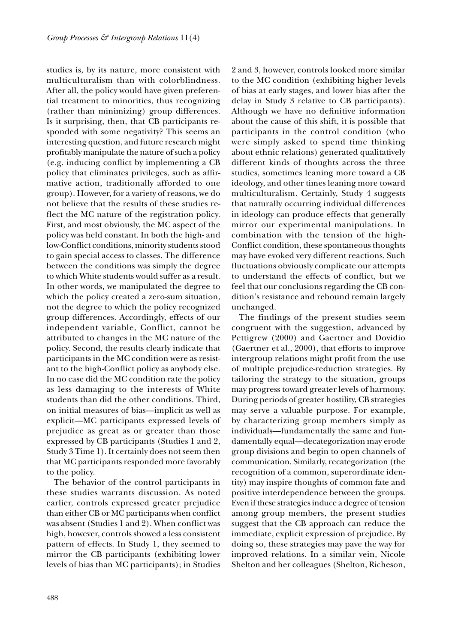studies is, by its nature, more consistent with multiculturalism than with colorblindness. After all, the policy would have given preferential treatment to minorities, thus recognizing (rather than minimizing) group differences. Is it surprising, then, that CB participants responded with some negativity? This seems an interesting question, and future research might profitably manipulate the nature of such a policy  $(e.g.$  inducing conflict by implementing a  $CB$ policy that eliminates privileges, such as affirmative action, traditionally afforded to one group). However, for a variety of reasons, we do not believe that the results of these studies reflect the MC nature of the registration policy. First, and most obviously, the MC aspect of the policy was held constant. In both the high- and low-Conflict conditions, minority students stood to gain special access to classes. The difference between the conditions was simply the degree to which White students would suffer as a result. In other words, we manipulated the degree to which the policy created a zero-sum situation, not the degree to which the policy recognized group differences. Accordingly, effects of our independent variable, Conflict, cannot be attributed to changes in the MC nature of the policy. Second, the results clearly indicate that participants in the MC condition were as resistant to the high-Conflict policy as anybody else. In no case did the MC condition rate the policy as less damaging to the interests of White students than did the other conditions. Third, on initial measures of bias—implicit as well as explicit—MC participants expressed levels of prejudice as great as or greater than those expressed by CB participants (Studies 1 and 2, Study 3 Time 1). It certainly does not seem then that MC participants responded more favorably to the policy.

The behavior of the control participants in these studies warrants discussion. As noted earlier, controls expressed greater prejudice than either CB or MC participants when conflict was absent (Studies  $1$  and  $2$ ). When conflict was high, however, controls showed a less consistent pattern of effects. In Study 1, they seemed to mirror the CB participants (exhibiting lower levels of bias than MC participants); in Studies

2 and 3, however, controls looked more similar to the MC condition (exhibiting higher levels of bias at early stages, and lower bias after the delay in Study 3 relative to CB participants). Although we have no definitive information about the cause of this shift, it is possible that participants in the control condition (who were simply asked to spend time thinking about ethnic relations) generated qualitatively different kinds of thoughts across the three studies, sometimes leaning more toward a CB ideology, and other times leaning more toward multiculturalism. Certainly, Study 4 suggests that naturally occurring individual differences in ideology can produce effects that generally mirror our experimental manipulations. In combination with the tension of the high-Conflict condition, these spontaneous thoughts may have evoked very different reactions. Such fluctuations obviously complicate our attempts to understand the effects of conflict, but we feel that our conclusions regarding the CB condition's resistance and rebound remain largely unchanged.

The findings of the present studies seem congruent with the suggestion, advanced by Pettigrew (2000) and Gaertner and Dovidio (Gaertner et al., 2000), that efforts to improve intergroup relations might profit from the use of multiple prejudice-reduction strategies. By tailoring the strategy to the situation, groups may progress toward greater levels of harmony. During periods of greater hostility, CB strategies may serve a valuable purpose. For example, by characterizing group members simply as individuals—fundamentally the same and fundamentally equal—decategorization may erode group divisions and begin to open channels of communication. Similarly, recategorization (the recognition of a common, superordinate identity) may inspire thoughts of common fate and positive interdependence between the groups. Even if these strategies induce a degree of tension among group members, the present studies suggest that the CB approach can reduce the immediate, explicit expression of prejudice. By doing so, these strategies may pave the way for improved relations. In a similar vein, Nicole Shelton and her colleagues (Shelton, Richeson,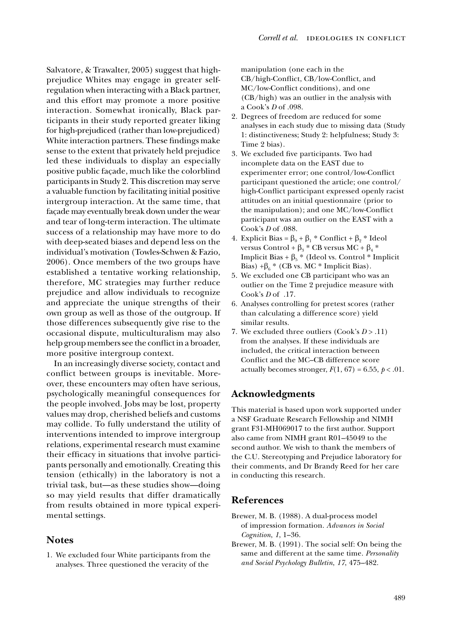Salvatore, & Trawalter, 2005) suggest that highprejudice Whites may engage in greater selfregulation when interacting with a Black partner, and this effort may promote a more positive interaction. Somewhat ironically, Black participants in their study reported greater liking for high-prejudiced (rather than low-prejudiced) White interaction partners. These findings make sense to the extent that privately held prejudice led these individuals to display an especially positive public façade, much like the colorblind participants in Study 2. This discretion may serve a valuable function by facilitating initial positive intergroup interaction. At the same time, that façade may eventually break down under the wear and tear of long-term interaction. The ultimate success of a relationship may have more to do with deep-seated biases and depend less on the individual's motivation (Towles-Schwen & Fazio, 2006). Once members of the two groups have established a tentative working relationship, therefore, MC strategies may further reduce prejudice and allow individuals to recognize and appreciate the unique strengths of their own group as well as those of the outgroup. If those differences subsequently give rise to the occasional dispute, multiculturalism may also help group members see the conflict in a broader, more positive intergroup context.

In an increasingly diverse society, contact and conflict between groups is inevitable. Moreover, these encounters may often have serious, psychologically meaningful consequences for the people involved. Jobs may be lost, property values may drop, cherished beliefs and customs may collide. To fully understand the utility of interventions intended to improve intergroup relations, experimental research must examine their efficacy in situations that involve participants personally and emotionally. Creating this tension (ethically) in the laboratory is not a trivial task, but—as these studies show—doing so may yield results that differ dramatically from results obtained in more typical experimental settings.

#### **Notes**

1. We excluded four White participants from the analyses. Three questioned the veracity of the

manipulation (one each in the CB/high-Conflict, CB/low-Conflict, and MC/low-Conflict conditions), and one (CB/high) was an outlier in the analysis with a Cook's *D* of .098.

- 2. Degrees of freedom are reduced for some analyses in each study due to missing data (Study 1: distinctiveness; Study 2: helpfulness; Study 3: Time 2 bias).
- 3. We excluded five participants. Two had incomplete data on the EAST due to experimenter error; one control/low-Conflict participant questioned the article; one control/ high-Conflict participant expressed openly racist attitudes on an initial questionnaire (prior to the manipulation); and one MC/low-Conflict participant was an outlier on the EAST with a Cook's *D* of .088.
- 4. Explicit Bias =  $\beta_0 + \beta_1 *$  Conflict +  $\beta_2 *$  Ideol versus Control +  $\beta_3$  \* CB versus MC +  $\beta_4$  \* Implicit Bias +  $\beta_5$  \* (Ideol vs. Control \* Implicit Bias) + $\beta_6$  \* (CB vs. MC \* Implicit Bias).
- 5. We excluded one CB participant who was an outlier on the Time 2 prejudice measure with Cook's *D* of .17.
- 6. Analyses controlling for pretest scores (rather than calculating a difference score) yield similar results.
- 7. We excluded three outliers (Cook's *D* > .11) from the analyses. If these individuals are included, the critical interaction between Conflict and the MC–CB difference score actually becomes stronger,  $F(1, 67) = 6.55$ ,  $p < .01$ .

#### **Acknowledgments**

This material is based upon work supported under a NSF Graduate Research Fellowship and NIMH grant F31-MH069017 to the first author. Support also came from NIMH grant R01–45049 to the second author. We wish to thank the members of the C.U. Stereotyping and Prejudice laboratory for their comments, and Dr Brandy Reed for her care in conducting this research.

#### **References**

- Brewer, M. B. (1988). A dual-process model of impression formation. *Advances in Social Cognition*, *1*, 1–36.
- Brewer, M. B. (1991). The social self: On being the same and different at the same time. *Personality and Social Psychology Bulletin*, *17*, 475–482.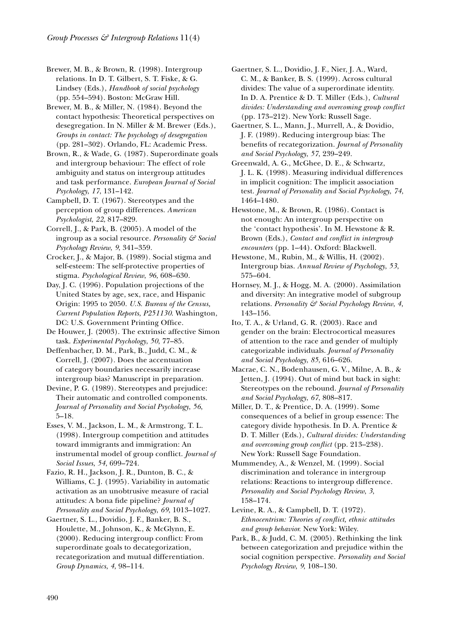Brewer, M. B., & Brown, R. (1998). Intergroup relations. In D. T. Gilbert, S. T. Fiske, & G. Lindsey (Eds.), *Handbook of social psychology* (pp. 554–594). Boston: McGraw Hill.

Brewer, M. B., & Miller, N. (1984). Beyond the contact hypothesis: Theoretical perspectives on desegregation. In N. Miller & M. Brewer (Eds.), *Groups in contact: The psychology of desegregation* (pp. 281–302). Orlando, FL: Academic Press.

Brown, R., & Wade, G. (1987). Superordinate goals and intergroup behaviour: The effect of role ambiguity and status on intergroup attitudes and task performance. *European Journal of Social Psychology*, *17*, 131–142.

Campbell, D. T. (1967). Stereotypes and the perception of group differences. *American Psychologist*, *22*, 817–829.

Correll, J., & Park, B. (2005). A model of the ingroup as a social resource. *Personality & Social Psychology Review*, *9*, 341–359.

Crocker, J., & Major, B. (1989). Social stigma and self-esteem: The self-protective properties of stigma. *Psychological Review*, *96*, 608–630.

Day, J. C. (1996). Population projections of the United States by age, sex, race, and Hispanic Origin: 1995 to 2050. *U.S. Bureau of the Census, Current Population Reports*, *P251130*. Washington, DC: U.S. Government Printing Office.

De Houwer, J. (2003). The extrinsic affective Simon task. *Experimental Psychology*, *50*, 77–85.

Deffenbacher, D. M., Park, B., Judd, C. M., & Correll, J. (2007). Does the accentuation of category boundaries necessarily increase intergroup bias? Manuscript in preparation.

Devine, P. G. (1989). Stereotypes and prejudice: Their automatic and controlled components. *Journal of Personality and Social Psychology*, *56*, 5–18.

Esses, V. M., Jackson, L. M., & Armstrong, T. L. (1998). Intergroup competition and attitudes toward immigrants and immigration: An instrumental model of group conflict. *Journal of Social Issues*, *54*, 699–724.

Fazio, R. H., Jackson, J. R., Dunton, B. C., & Williams, C. J. (1995). Variability in automatic activation as an unobtrusive measure of racial attitudes: A bona fide pipeline? *Journal of Personality and Social Psychology*, *69*, 1013–1027.

Gaertner, S. L., Dovidio, J. F., Banker, B. S., Houlette, M., Johnson, K., & McGlynn, E. (2000). Reducing intergroup conflict: From superordinate goals to decategorization, recategorization and mutual differentiation. *Group Dynamics*, *4*, 98–114.

Gaertner, S. L., Dovidio, J. F., Nier, J. A., Ward, C. M., & Banker, B. S. (1999). Across cultural divides: The value of a superordinate identity. In D. A. Prentice & D. T. Miller (Eds.), *Cultural*  divides: Understanding and overcoming group conflict (pp. 173–212). New York: Russell Sage.

Gaertner, S. L., Mann, J., Murrell, A., & Dovidio, J. F. (1989). Reducing intergroup bias: The benefits of recategorization. *Journal of Personality and Social Psychology*, *57*, 239–249.

Greenwald, A. G., McGhee, D. E., & Schwartz, J. L. K. (1998). Measuring individual differences in implicit cognition: The implicit association test. *Journal of Personality and Social Psychology*, *74*, 1464–1480.

Hewstone, M., & Brown, R. (1986). Contact is not enough: An intergroup perspective on the 'contact hypothesis'. In M. Hewstone & R. Brown (Eds.), *Contact and conflict in intergroup encounters* (pp. 1–44). Oxford: Blackwell.

Hewstone, M., Rubin, M., & Willis, H. (2002). Intergroup bias. *Annual Review of Psychology*, *53*, 575–604.

Hornsey, M. J., & Hogg, M. A. (2000). Assimilation and diversity: An integrative model of subgroup relations. *Personality & Social Psychology Review*, *4*, 143–156.

Ito, T. A., & Urland, G. R. (2003). Race and gender on the brain: Electrocortical measures of attention to the race and gender of multiply categorizable individuals. *Journal of Personality and Social Psychology*, *85*, 616–626.

Macrae, C. N., Bodenhausen, G. V., Milne, A. B., & Jetten, J. (1994). Out of mind but back in sight: Stereotypes on the rebound. *Journal of Personality and Social Psychology*, *67*, 808–817.

Miller, D. T., & Prentice, D. A. (1999). Some consequences of a belief in group essence: The category divide hypothesis. In D. A. Prentice & D. T. Miller (Eds.), *Cultural divides: Understanding*  and overcoming group conflict (pp. 213-238). New York: Russell Sage Foundation.

Mummendey, A., & Wenzel, M. (1999). Social discrimination and tolerance in intergroup relations: Reactions to intergroup difference. *Personality and Social Psychology Review*, *3*, 158–174.

Levine, R. A., & Campbell, D. T. (1972). *Ethnocentrism: Theories of conflict, ethnic attitudes and group behavior.* New York: Wiley.

Park, B., & Judd, C. M. (2005). Rethinking the link between categorization and prejudice within the social cognition perspective. *Personality and Social Psychology Review*, *9*, 108–130.